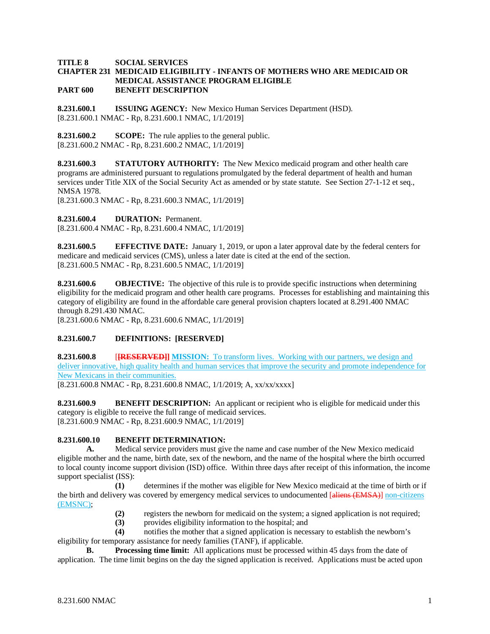### **TITLE 8 SOCIAL SERVICES CHAPTER 231 MEDICAID ELIGIBILITY - INFANTS OF MOTHERS WHO ARE MEDICAID OR MEDICAL ASSISTANCE PROGRAM ELIGIBLE PART 600 BENEFIT DESCRIPTION**

**8.231.600.1 ISSUING AGENCY:** New Mexico Human Services Department (HSD). [8.231.600.1 NMAC - Rp, 8.231.600.1 NMAC, 1/1/2019]

**8.231.600.2 SCOPE:** The rule applies to the general public. [8.231.600.2 NMAC - Rp, 8.231.600.2 NMAC, 1/1/2019]

**8.231.600.3 STATUTORY AUTHORITY:** The New Mexico medicaid program and other health care programs are administered pursuant to regulations promulgated by the federal department of health and human services under Title XIX of the Social Security Act as amended or by state statute. See Section 27-1-12 et seq., NMSA 1978.

[8.231.600.3 NMAC - Rp, 8.231.600.3 NMAC, 1/1/2019]

**8.231.600.4 DURATION:** Permanent.

[8.231.600.4 NMAC - Rp, 8.231.600.4 NMAC, 1/1/2019]

**8.231.600.5 EFFECTIVE DATE:** January 1, 2019, or upon a later approval date by the federal centers for medicare and medicaid services (CMS), unless a later date is cited at the end of the section. [8.231.600.5 NMAC - Rp, 8.231.600.5 NMAC, 1/1/2019]

**8.231.600.6 OBJECTIVE:** The objective of this rule is to provide specific instructions when determining eligibility for the medicaid program and other health care programs. Processes for establishing and maintaining this category of eligibility are found in the affordable care general provision chapters located at 8.291.400 NMAC through 8.291.430 NMAC.

[8.231.600.6 NMAC - Rp, 8.231.600.6 NMAC, 1/1/2019]

# **8.231.600.7 DEFINITIONS: [RESERVED]**

**8.231.600.8 [[RESERVED]] MISSION:** To transform lives. Working with our partners, we design and deliver innovative, high quality health and human services that improve the security and promote independence for New Mexicans in their communities.

[8.231.600.8 NMAC - Rp, 8.231.600.8 NMAC, 1/1/2019; A, xx/xx/xxxx]

**8.231.600.9 BENEFIT DESCRIPTION:** An applicant or recipient who is eligible for medicaid under this category is eligible to receive the full range of medicaid services. [8.231.600.9 NMAC - Rp, 8.231.600.9 NMAC, 1/1/2019]

# **8.231.600.10 BENEFIT DETERMINATION:**

**A.** Medical service providers must give the name and case number of the New Mexico medicaid eligible mother and the name, birth date, sex of the newborn, and the name of the hospital where the birth occurred to local county income support division (ISD) office. Within three days after receipt of this information, the income support specialist (ISS):

**(1)** determines if the mother was eligible for New Mexico medicaid at the time of birth or if the birth and delivery was covered by emergency medical services to undocumented [aliens (EMSA)] non-citizens (EMSNC);

- **(2)** registers the newborn for medicaid on the system; a signed application is not required;
- **(3)** provides eligibility information to the hospital; and

**(4)** notifies the mother that a signed application is necessary to establish the newborn's eligibility for temporary assistance for needy families (TANF), if applicable.

**B.** Processing time limit: All applications must be processed within 45 days from the date of application. The time limit begins on the day the signed application is received. Applications must be acted upon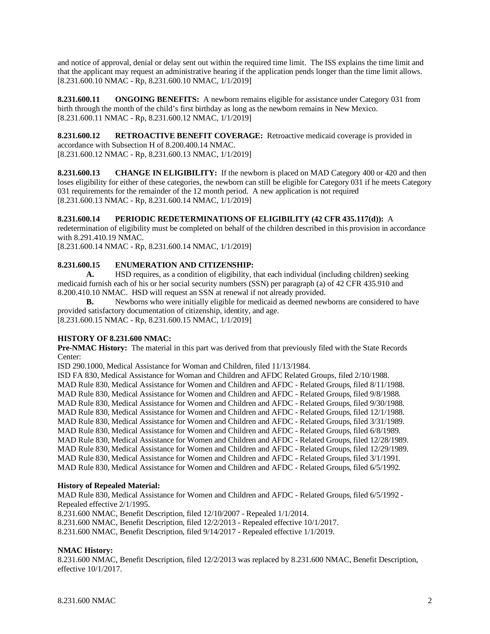and notice of approval, denial or delay sent out within the required time limit. The ISS explains the time limit and that the applicant may request an administrative hearing if the application pends longer than the time limit allows. [8.231.600.10 NMAC - Rp, 8.231.600.10 NMAC, 1/1/2019]

**8.231.600.11 ONGOING BENEFITS:** A newborn remains eligible for assistance under Category 031 from birth through the month of the child's first birthday as long as the newborn remains in New Mexico. [8.231.600.11 NMAC - Rp, 8.231.600.12 NMAC, 1/1/2019]

**8.231.600.12 RETROACTIVE BENEFIT COVERAGE:** Retroactive medicaid coverage is provided in accordance with Subsection H of 8.200.400.14 NMAC. [8.231.600.12 NMAC - Rp, 8.231.600.13 NMAC, 1/1/2019]

**8.231.600.13 CHANGE IN ELIGIBILITY:** If the newborn is placed on MAD Category 400 or 420 and then loses eligibility for either of these categories, the newborn can still be eligible for Category 031 if he meets Category 031 requirements for the remainder of the 12 month period. A new application is not required [8.231.600.13 NMAC - Rp, 8.231.600.14 NMAC, 1/1/2019]

# **8.231.600.14 PERIODIC REDETERMINATIONS OF ELIGIBILITY (42 CFR 435.117(d)):** A

redetermination of eligibility must be completed on behalf of the children described in this provision in accordance with 8.291.410.19 NMAC.

[8.231.600.14 NMAC - Rp, 8.231.600.14 NMAC, 1/1/2019]

# **8.231.600.15 ENUMERATION AND CITIZENSHIP:**

**A.** HSD requires, as a condition of eligibility, that each individual (including children) seeking medicaid furnish each of his or her social security numbers (SSN) per paragraph (a) of 42 CFR 435.910 and 8.200.410.10 NMAC. HSD will request an SSN at renewal if not already provided.

**B.** Newborns who were initially eligible for medicaid as deemed newborns are considered to have provided satisfactory documentation of citizenship, identity, and age.

[8.231.600.15 NMAC - Rp, 8.231.600.15 NMAC, 1/1/2019]

# **HISTORY OF 8.231.600 NMAC:**

**Pre-NMAC History:** The material in this part was derived from that previously filed with the State Records Center:

ISD 290.1000, Medical Assistance for Woman and Children, filed 11/13/1984.

ISD FA 830, Medical Assistance for Woman and Children and AFDC Related Groups, filed 2/10/1988. MAD Rule 830, Medical Assistance for Women and Children and AFDC - Related Groups, filed 8/11/1988. MAD Rule 830, Medical Assistance for Women and Children and AFDC - Related Groups, filed 9/8/1988. MAD Rule 830, Medical Assistance for Women and Children and AFDC - Related Groups, filed 9/30/1988. MAD Rule 830, Medical Assistance for Women and Children and AFDC - Related Groups, filed 12/1/1988. MAD Rule 830, Medical Assistance for Women and Children and AFDC - Related Groups, filed 3/31/1989. MAD Rule 830, Medical Assistance for Women and Children and AFDC - Related Groups, filed 6/8/1989. MAD Rule 830, Medical Assistance for Women and Children and AFDC - Related Groups, filed 12/28/1989. MAD Rule 830, Medical Assistance for Women and Children and AFDC - Related Groups, filed 12/29/1989. MAD Rule 830, Medical Assistance for Women and Children and AFDC - Related Groups, filed 3/1/1991. MAD Rule 830, Medical Assistance for Women and Children and AFDC - Related Groups, filed 6/5/1992.

### **History of Repealed Material:**

MAD Rule 830, Medical Assistance for Women and Children and AFDC - Related Groups, filed 6/5/1992 - Repealed effective 2/1/1995.

8.231.600 NMAC, Benefit Description, filed 12/10/2007 - Repealed 1/1/2014.

8.231.600 NMAC, Benefit Description, filed 12/2/2013 - Repealed effective 10/1/2017.

8.231.600 NMAC, Benefit Description, filed 9/14/2017 - Repealed effective 1/1/2019.

# **NMAC History:**

8.231.600 NMAC, Benefit Description, filed 12/2/2013 was replaced by 8.231.600 NMAC, Benefit Description, effective 10/1/2017.